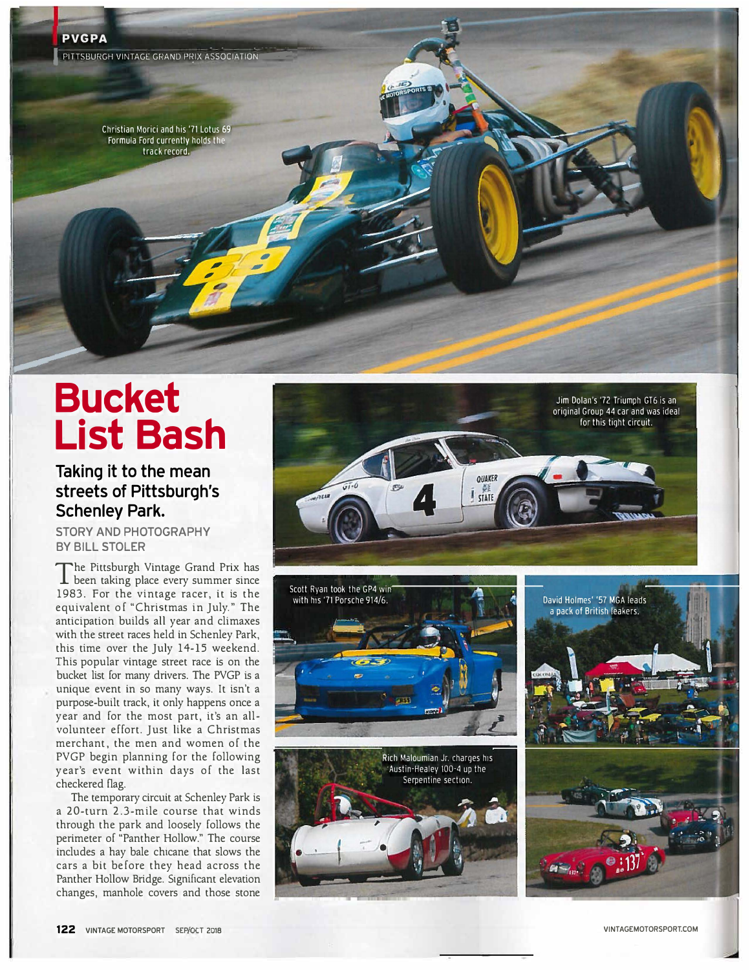Christian Morici and his '71 Lotus 69 Formula Ford currently holds the track record.

## **Bucket List Bash**

## **Taking it to the mean streets of Pittsburgh's Schenley Park.**

**STORY AND PHOTOGRAPHY BY BILL STOLER** 

The Pittsburgh Vintage Grand Prix has<br>been taking place every summer since The Pittsburgh Vintage Grand Prix has 1983. For the vintage racer, it is the equivalent of "Christmas in July." The anticipation builds all year and climaxes with the street races held in Schenley Park, this time over the July 14-15 weekend. This popular vintage street race is on the bucket list for many drivers. The PVGP is a unique event in so many ways. It isn't a purpose-built track, it only happens once a year and for the most part, it's an allvolunteer effort. Just like a Christmas merchant, the men and women of the PVGP begin planning for the following year's event within days of the last checkered flag.

The temporary circuit at Schenley Park is a 20-turn 2.3-mile course that winds through the park and loosely follows the perimeter of "Panther Hollow." The course includes a hay bale chicane that slows the cars a bit before they head across the Panther Hollow Bridge. Significant elevation changes, manhole covers and those stone









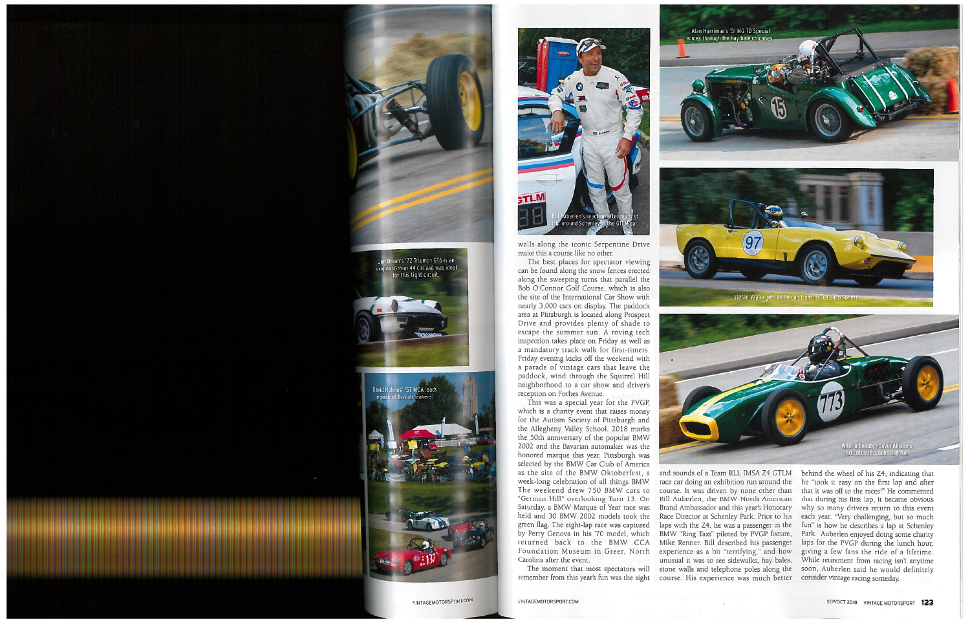

walls along the iconic Serpentine Drive make this a course like no other.

The best places for spectator viewing can be found along the snow fences erected along the sweeping turns that parallel the Bob O'Connor Golf Course, which is also the site of the International Car Show with nearly 3,000 cars on display. The paddock area at Pittsburgh is located along Prospect Drive and provides plenty of shade to escape the summer sun. A roving tech inspection takes place on Friday as well as a mandatory track walk for first-timers. Friday evening kicks off the weekend with a parade of vintage cars that leave the paddock, wind through the Squirrel Hill neighborhood to a car show and driver's reception on Forbes Avenue.

This was a special year for the PVGP, which is a charity event that raises money for the Autism Society of Pittsburgh and the Allegheny Valley School. 2018 marks the 50th anniversary of the popular BMW 2002 and the Bavarian automaker was the honored marque this year. Pittsburgh was selected by the BMW Car Club of America as the site of the BMW Oktoberfest, a week-long celebration of all things BMW. The weekend drew 750 BMW cars to "German Hill" overlooking Turn 13. On Saturday, a BMW Marque of Year race was held and 30 BMW 2002 models took the green flag. The eight-lap race was captured by Perry Genova in his '70 model, which returned back to the BMW CCA Foundation Museum in Greer, North Carolina after the event.

The moment that most spectators will remember from this year's fun was the sight





and sounds of a Team RLL IMSA Z4 GTLM race car doing an exhibition run around the course. It was driven by none other than Bill Auberlen, the BMW North American Brand Ambassador and this year's Honorary Race Director at Schenley Park. Prior to his laps with the Z4, he was a passenger in the BMW "Ring Taxi" piloted by PVGP fixture, Mike Renner. Bill described his passenger experience as a bit "terrifying," and how unusual it was to see sidewalks, hay bales, stone walls and telephone poles along the course. His experience was much better behind the wheel of his Z4, indicating that he "took it easy on the first lap and after that it was off to the races!" He commented that during his first lap, it became obvious why so many drivers return to this event each year. "Very challenging, but so much fun" is how he describes a lap at Schenley Park. Auberlen enjoyed doing some charity laps for the PVGP during the lunch hour, giving a few fans the ride of a lifetime. While retirement from racing isn't anytime soon, Auberlen said he would definitely consider vintage racing someday.